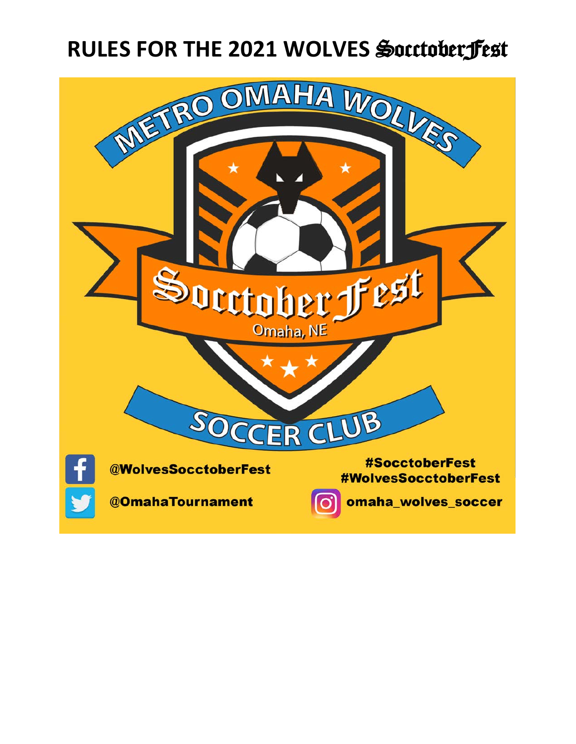# **RULES FOR THE 2021 WOLVES** SocctoberFest

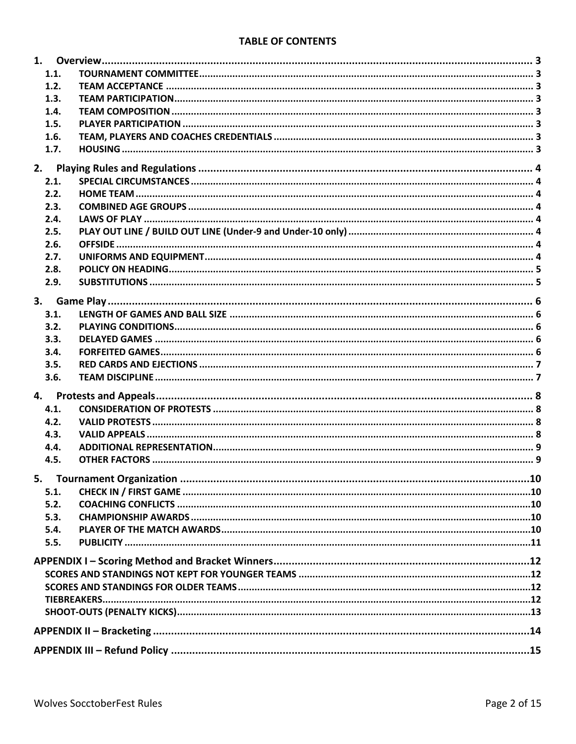#### **TABLE OF CONTENTS**

|    | 1.1.         |  |  |  |  |
|----|--------------|--|--|--|--|
|    | 1.2.         |  |  |  |  |
|    | 1.3.         |  |  |  |  |
|    | 1.4.         |  |  |  |  |
|    | 1.5.         |  |  |  |  |
|    | 1.6.         |  |  |  |  |
|    | 1.7.         |  |  |  |  |
| 2. |              |  |  |  |  |
|    | 2.1.         |  |  |  |  |
|    | 2.2.         |  |  |  |  |
|    |              |  |  |  |  |
|    | 2.3.         |  |  |  |  |
|    | 2.4.<br>2.5. |  |  |  |  |
|    |              |  |  |  |  |
|    | 2.6.         |  |  |  |  |
|    | 2.7.         |  |  |  |  |
|    | 2.8.         |  |  |  |  |
|    | 2.9.         |  |  |  |  |
|    |              |  |  |  |  |
|    | 3.1.         |  |  |  |  |
|    | 3.2.         |  |  |  |  |
|    | 3.3.         |  |  |  |  |
|    | 3.4.         |  |  |  |  |
|    | 3.5.         |  |  |  |  |
|    | 3.6.         |  |  |  |  |
| 4. |              |  |  |  |  |
|    | 4.1.         |  |  |  |  |
|    | 4.2.         |  |  |  |  |
|    |              |  |  |  |  |
|    | 4.3.         |  |  |  |  |
|    | 4.4.         |  |  |  |  |
|    | 4.5.         |  |  |  |  |
|    |              |  |  |  |  |
|    | 5.1.         |  |  |  |  |
|    | 5.2.         |  |  |  |  |
|    | 5.3.         |  |  |  |  |
|    | 5.4.         |  |  |  |  |
|    | 5.5.         |  |  |  |  |
|    |              |  |  |  |  |
|    |              |  |  |  |  |
|    |              |  |  |  |  |
|    |              |  |  |  |  |
|    |              |  |  |  |  |
|    |              |  |  |  |  |
|    |              |  |  |  |  |
|    |              |  |  |  |  |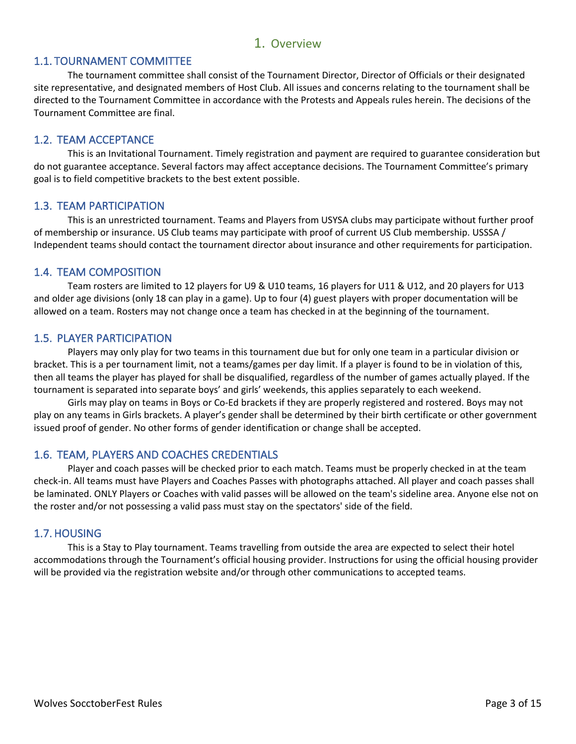## 1. Overview

#### 1.1. TOURNAMENT COMMITTEE

The tournament committee shall consist of the Tournament Director, Director of Officials or their designated site representative, and designated members of Host Club. All issues and concerns relating to the tournament shall be directed to the Tournament Committee in accordance with the Protests and Appeals rules herein. The decisions of the Tournament Committee are final.

#### 1.2. TEAM ACCEPTANCE

This is an Invitational Tournament. Timely registration and payment are required to guarantee consideration but do not guarantee acceptance. Several factors may affect acceptance decisions. The Tournament Committee's primary goal is to field competitive brackets to the best extent possible.

#### 1.3. TEAM PARTICIPATION

This is an unrestricted tournament. Teams and Players from USYSA clubs may participate without further proof of membership or insurance. US Club teams may participate with proof of current US Club membership. USSSA / Independent teams should contact the tournament director about insurance and other requirements for participation.

#### 1.4. TEAM COMPOSITION

Team rosters are limited to 12 players for U9 & U10 teams, 16 players for U11 & U12, and 20 players for U13 and older age divisions (only 18 can play in a game). Up to four (4) guest players with proper documentation will be allowed on a team. Rosters may not change once a team has checked in at the beginning of the tournament.

#### 1.5. PLAYER PARTICIPATION

Players may only play for two teams in this tournament due but for only one team in a particular division or bracket. This is a per tournament limit, not a teams/games per day limit. If a player is found to be in violation of this, then all teams the player has played for shall be disqualified, regardless of the number of games actually played. If the tournament is separated into separate boys' and girls' weekends, this applies separately to each weekend.

Girls may play on teams in Boys or Co-Ed brackets if they are properly registered and rostered. Boys may not play on any teams in Girls brackets. A player's gender shall be determined by their birth certificate or other government issued proof of gender. No other forms of gender identification or change shall be accepted.

#### 1.6. TEAM, PLAYERS AND COACHES CREDENTIALS

Player and coach passes will be checked prior to each match. Teams must be properly checked in at the team check-in. All teams must have Players and Coaches Passes with photographs attached. All player and coach passes shall be laminated. ONLY Players or Coaches with valid passes will be allowed on the team's sideline area. Anyone else not on the roster and/or not possessing a valid pass must stay on the spectators' side of the field.

#### 1.7. HOUSING

This is a Stay to Play tournament. Teams travelling from outside the area are expected to select their hotel accommodations through the Tournament's official housing provider. Instructions for using the official housing provider will be provided via the registration website and/or through other communications to accepted teams.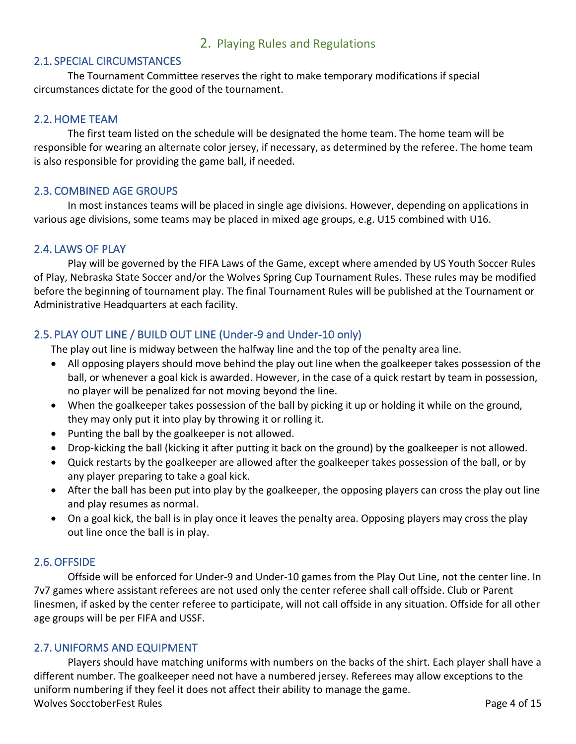# 2. Playing Rules and Regulations

#### 2.1. SPECIAL CIRCUMSTANCES

The Tournament Committee reserves the right to make temporary modifications if special circumstances dictate for the good of the tournament.

#### 2.2. HOME TEAM

The first team listed on the schedule will be designated the home team. The home team will be responsible for wearing an alternate color jersey, if necessary, as determined by the referee. The home team is also responsible for providing the game ball, if needed.

#### 2.3. COMBINED AGE GROUPS

In most instances teams will be placed in single age divisions. However, depending on applications in various age divisions, some teams may be placed in mixed age groups, e.g. U15 combined with U16.

#### 2.4. LAWS OF PLAY

Play will be governed by the FIFA Laws of the Game, except where amended by US Youth Soccer Rules of Play, Nebraska State Soccer and/or the Wolves Spring Cup Tournament Rules. These rules may be modified before the beginning of tournament play. The final Tournament Rules will be published at the Tournament or Administrative Headquarters at each facility.

# 2.5. PLAY OUT LINE / BUILD OUT LINE (Under-9 and Under-10 only)

The play out line is midway between the halfway line and the top of the penalty area line.

- All opposing players should move behind the play out line when the goalkeeper takes possession of the ball, or whenever a goal kick is awarded. However, in the case of a quick restart by team in possession, no player will be penalized for not moving beyond the line.
- When the goalkeeper takes possession of the ball by picking it up or holding it while on the ground, they may only put it into play by throwing it or rolling it.
- Punting the ball by the goalkeeper is not allowed.
- Drop-kicking the ball (kicking it after putting it back on the ground) by the goalkeeper is not allowed.
- Quick restarts by the goalkeeper are allowed after the goalkeeper takes possession of the ball, or by any player preparing to take a goal kick.
- After the ball has been put into play by the goalkeeper, the opposing players can cross the play out line and play resumes as normal.
- On a goal kick, the ball is in play once it leaves the penalty area. Opposing players may cross the play out line once the ball is in play.

#### 2.6.OFFSIDE

Offside will be enforced for Under-9 and Under-10 games from the Play Out Line, not the center line. In 7v7 games where assistant referees are not used only the center referee shall call offside. Club or Parent linesmen, if asked by the center referee to participate, will not call offside in any situation. Offside for all other age groups will be per FIFA and USSF.

#### 2.7.UNIFORMS AND EQUIPMENT

Wolves SocctoberFest Rules **Page 4 of 15** November 2014 15 Players should have matching uniforms with numbers on the backs of the shirt. Each player shall have a different number. The goalkeeper need not have a numbered jersey. Referees may allow exceptions to the uniform numbering if they feel it does not affect their ability to manage the game.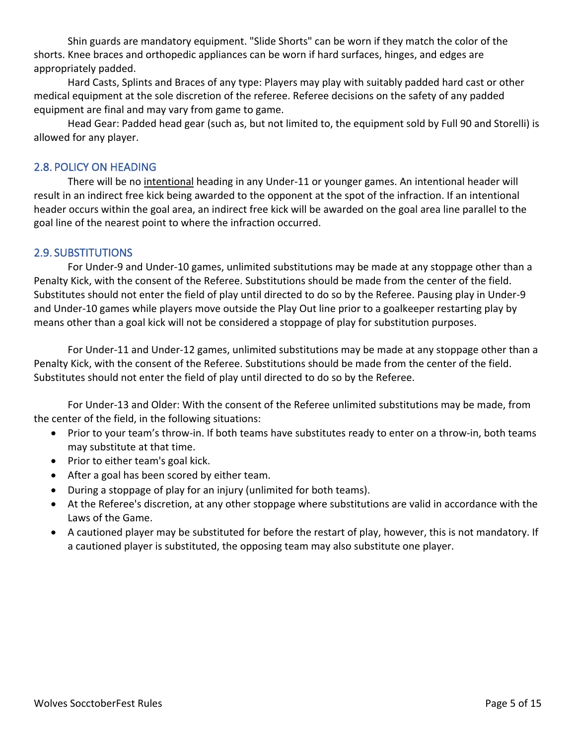Shin guards are mandatory equipment. "Slide Shorts" can be worn if they match the color of the shorts. Knee braces and orthopedic appliances can be worn if hard surfaces, hinges, and edges are appropriately padded.

Hard Casts, Splints and Braces of any type: Players may play with suitably padded hard cast or other medical equipment at the sole discretion of the referee. Referee decisions on the safety of any padded equipment are final and may vary from game to game.

Head Gear: Padded head gear (such as, but not limited to, the equipment sold by Full 90 and Storelli) is allowed for any player.

# 2.8. POLICY ON HEADING

There will be no intentional heading in any Under-11 or younger games. An intentional header will result in an indirect free kick being awarded to the opponent at the spot of the infraction. If an intentional header occurs within the goal area, an indirect free kick will be awarded on the goal area line parallel to the goal line of the nearest point to where the infraction occurred.

# 2.9. SUBSTITUTIONS

For Under-9 and Under-10 games, unlimited substitutions may be made at any stoppage other than a Penalty Kick, with the consent of the Referee. Substitutions should be made from the center of the field. Substitutes should not enter the field of play until directed to do so by the Referee. Pausing play in Under-9 and Under-10 games while players move outside the Play Out line prior to a goalkeeper restarting play by means other than a goal kick will not be considered a stoppage of play for substitution purposes.

For Under-11 and Under-12 games, unlimited substitutions may be made at any stoppage other than a Penalty Kick, with the consent of the Referee. Substitutions should be made from the center of the field. Substitutes should not enter the field of play until directed to do so by the Referee.

For Under-13 and Older: With the consent of the Referee unlimited substitutions may be made, from the center of the field, in the following situations:

- Prior to your team's throw-in. If both teams have substitutes ready to enter on a throw-in, both teams may substitute at that time.
- Prior to either team's goal kick.
- After a goal has been scored by either team.
- During a stoppage of play for an injury (unlimited for both teams).
- At the Referee's discretion, at any other stoppage where substitutions are valid in accordance with the Laws of the Game.
- A cautioned player may be substituted for before the restart of play, however, this is not mandatory. If a cautioned player is substituted, the opposing team may also substitute one player.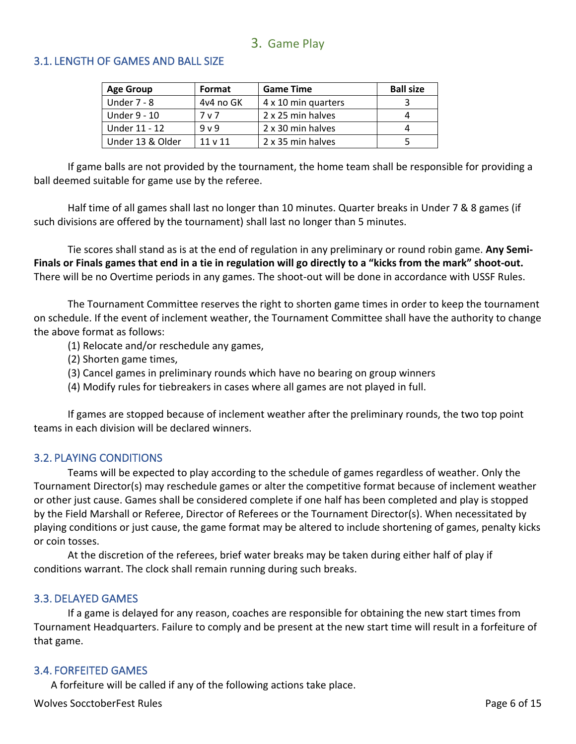# 3. Game Play

## 3.1. LENGTH OF GAMES AND BALL SIZE

| <b>Age Group</b> | Format         | <b>Game Time</b>    | <b>Ball size</b> |
|------------------|----------------|---------------------|------------------|
| Under $7 - 8$    | 4y4 no GK      | 4 x 10 min quarters |                  |
| Under 9 - 10     | 7 v 7          | 2 x 25 min halves   |                  |
| Under 11 - 12    | 9 <sub>v</sub> | 2 x 30 min halves   |                  |
| Under 13 & Older | $11 \vee 11$   | 2 x 35 min halves   | 5                |

If game balls are not provided by the tournament, the home team shall be responsible for providing a ball deemed suitable for game use by the referee.

Half time of all games shall last no longer than 10 minutes. Quarter breaks in Under 7 & 8 games (if such divisions are offered by the tournament) shall last no longer than 5 minutes.

Tie scores shall stand as is at the end of regulation in any preliminary or round robin game. **Any Semi-Finals or Finals games that end in a tie in regulation will go directly to a "kicks from the mark" shoot-out.** There will be no Overtime periods in any games. The shoot-out will be done in accordance with USSF Rules.

The Tournament Committee reserves the right to shorten game times in order to keep the tournament on schedule. If the event of inclement weather, the Tournament Committee shall have the authority to change the above format as follows:

- (1) Relocate and/or reschedule any games,
- (2) Shorten game times,
- (3) Cancel games in preliminary rounds which have no bearing on group winners
- (4) Modify rules for tiebreakers in cases where all games are not played in full.

If games are stopped because of inclement weather after the preliminary rounds, the two top point teams in each division will be declared winners.

#### 3.2. PLAYING CONDITIONS

Teams will be expected to play according to the schedule of games regardless of weather. Only the Tournament Director(s) may reschedule games or alter the competitive format because of inclement weather or other just cause. Games shall be considered complete if one half has been completed and play is stopped by the Field Marshall or Referee, Director of Referees or the Tournament Director(s). When necessitated by playing conditions or just cause, the game format may be altered to include shortening of games, penalty kicks or coin tosses.

At the discretion of the referees, brief water breaks may be taken during either half of play if conditions warrant. The clock shall remain running during such breaks.

#### 3.3. DELAYED GAMES

If a game is delayed for any reason, coaches are responsible for obtaining the new start times from Tournament Headquarters. Failure to comply and be present at the new start time will result in a forfeiture of that game.

#### 3.4. FORFEITED GAMES

A forfeiture will be called if any of the following actions take place.

Wolves SocctoberFest Rules **Page 6 of 15** November 2014 12:00 November 2014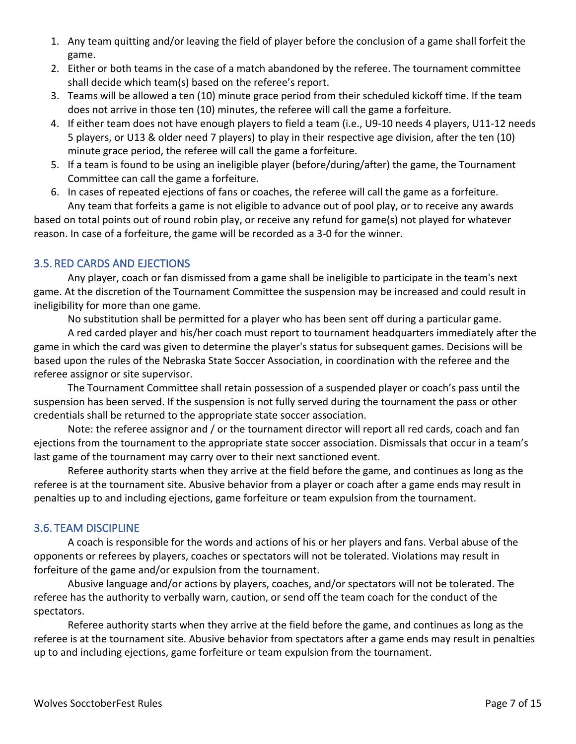- 1. Any team quitting and/or leaving the field of player before the conclusion of a game shall forfeit the game.
- 2. Either or both teams in the case of a match abandoned by the referee. The tournament committee shall decide which team(s) based on the referee's report.
- 3. Teams will be allowed a ten (10) minute grace period from their scheduled kickoff time. If the team does not arrive in those ten (10) minutes, the referee will call the game a forfeiture.
- 4. If either team does not have enough players to field a team (i.e., U9-10 needs 4 players, U11-12 needs 5 players, or U13 & older need 7 players) to play in their respective age division, after the ten (10) minute grace period, the referee will call the game a forfeiture.
- 5. If a team is found to be using an ineligible player (before/during/after) the game, the Tournament Committee can call the game a forfeiture.
- 6. In cases of repeated ejections of fans or coaches, the referee will call the game as a forfeiture. Any team that forfeits a game is not eligible to advance out of pool play, or to receive any awards

based on total points out of round robin play, or receive any refund for game(s) not played for whatever reason. In case of a forfeiture, the game will be recorded as a 3-0 for the winner.

# 3.5. RED CARDS AND EJECTIONS

Any player, coach or fan dismissed from a game shall be ineligible to participate in the team's next game. At the discretion of the Tournament Committee the suspension may be increased and could result in ineligibility for more than one game.

No substitution shall be permitted for a player who has been sent off during a particular game.

A red carded player and his/her coach must report to tournament headquarters immediately after the game in which the card was given to determine the player's status for subsequent games. Decisions will be based upon the rules of the Nebraska State Soccer Association, in coordination with the referee and the referee assignor or site supervisor.

The Tournament Committee shall retain possession of a suspended player or coach's pass until the suspension has been served. If the suspension is not fully served during the tournament the pass or other credentials shall be returned to the appropriate state soccer association.

Note: the referee assignor and / or the tournament director will report all red cards, coach and fan ejections from the tournament to the appropriate state soccer association. Dismissals that occur in a team's last game of the tournament may carry over to their next sanctioned event.

Referee authority starts when they arrive at the field before the game, and continues as long as the referee is at the tournament site. Abusive behavior from a player or coach after a game ends may result in penalties up to and including ejections, game forfeiture or team expulsion from the tournament.

# 3.6. TEAM DISCIPLINE

A coach is responsible for the words and actions of his or her players and fans. Verbal abuse of the opponents or referees by players, coaches or spectators will not be tolerated. Violations may result in forfeiture of the game and/or expulsion from the tournament.

Abusive language and/or actions by players, coaches, and/or spectators will not be tolerated. The referee has the authority to verbally warn, caution, or send off the team coach for the conduct of the spectators.

Referee authority starts when they arrive at the field before the game, and continues as long as the referee is at the tournament site. Abusive behavior from spectators after a game ends may result in penalties up to and including ejections, game forfeiture or team expulsion from the tournament.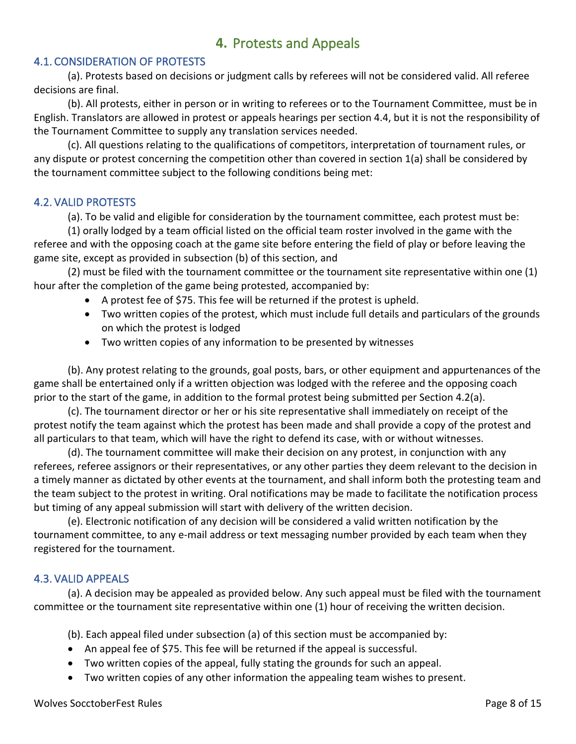# **4.** Protests and Appeals

# 4.1. CONSIDERATION OF PROTESTS

(a). Protests based on decisions or judgment calls by referees will not be considered valid. All referee decisions are final.

(b). All protests, either in person or in writing to referees or to the Tournament Committee, must be in English. Translators are allowed in protest or appeals hearings per section 4.4, but it is not the responsibility of the Tournament Committee to supply any translation services needed.

(c). All questions relating to the qualifications of competitors, interpretation of tournament rules, or any dispute or protest concerning the competition other than covered in section 1(a) shall be considered by the tournament committee subject to the following conditions being met:

#### 4.2. VALID PROTESTS

(a). To be valid and eligible for consideration by the tournament committee, each protest must be:

(1) orally lodged by a team official listed on the official team roster involved in the game with the referee and with the opposing coach at the game site before entering the field of play or before leaving the game site, except as provided in subsection (b) of this section, and

(2) must be filed with the tournament committee or the tournament site representative within one (1) hour after the completion of the game being protested, accompanied by:

- A protest fee of \$75. This fee will be returned if the protest is upheld.
- Two written copies of the protest, which must include full details and particulars of the grounds on which the protest is lodged
- Two written copies of any information to be presented by witnesses

(b). Any protest relating to the grounds, goal posts, bars, or other equipment and appurtenances of the game shall be entertained only if a written objection was lodged with the referee and the opposing coach prior to the start of the game, in addition to the formal protest being submitted per Section 4.2(a).

(c). The tournament director or her or his site representative shall immediately on receipt of the protest notify the team against which the protest has been made and shall provide a copy of the protest and all particulars to that team, which will have the right to defend its case, with or without witnesses.

(d). The tournament committee will make their decision on any protest, in conjunction with any referees, referee assignors or their representatives, or any other parties they deem relevant to the decision in a timely manner as dictated by other events at the tournament, and shall inform both the protesting team and the team subject to the protest in writing. Oral notifications may be made to facilitate the notification process but timing of any appeal submission will start with delivery of the written decision.

(e). Electronic notification of any decision will be considered a valid written notification by the tournament committee, to any e-mail address or text messaging number provided by each team when they registered for the tournament.

# 4.3. VALID APPEALS

(a). A decision may be appealed as provided below. Any such appeal must be filed with the tournament committee or the tournament site representative within one (1) hour of receiving the written decision.

(b). Each appeal filed under subsection (a) of this section must be accompanied by:

- An appeal fee of \$75. This fee will be returned if the appeal is successful.
- Two written copies of the appeal, fully stating the grounds for such an appeal.
- Two written copies of any other information the appealing team wishes to present.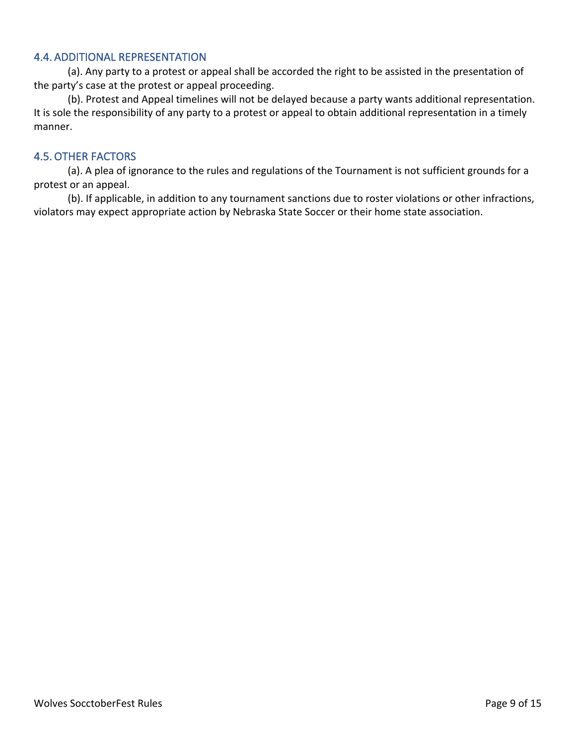# 4.4. ADDITIONAL REPRESENTATION

(a). Any party to a protest or appeal shall be accorded the right to be assisted in the presentation of the party's case at the protest or appeal proceeding.

(b). Protest and Appeal timelines will not be delayed because a party wants additional representation. It is sole the responsibility of any party to a protest or appeal to obtain additional representation in a timely manner.

# 4.5.OTHER FACTORS

(a). A plea of ignorance to the rules and regulations of the Tournament is not sufficient grounds for a protest or an appeal.

(b). If applicable, in addition to any tournament sanctions due to roster violations or other infractions, violators may expect appropriate action by Nebraska State Soccer or their home state association.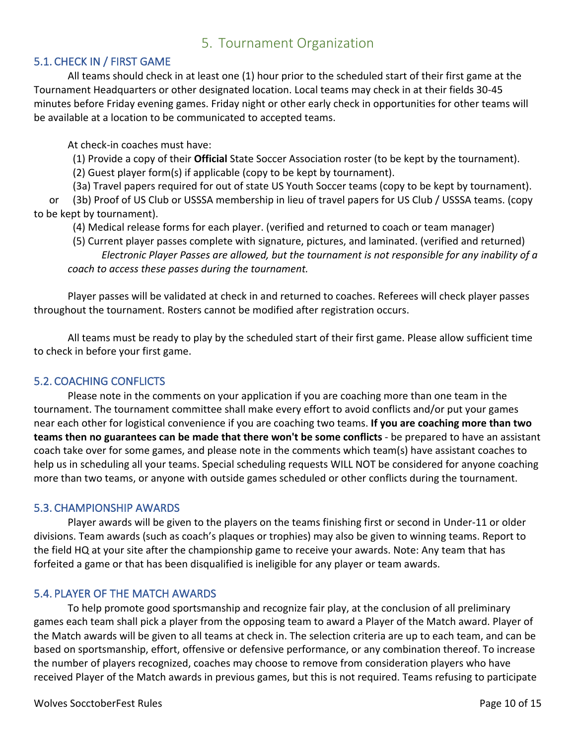# 5. Tournament Organization

# 5.1. CHECK IN / FIRST GAME

All teams should check in at least one (1) hour prior to the scheduled start of their first game at the Tournament Headquarters or other designated location. Local teams may check in at their fields 30-45 minutes before Friday evening games. Friday night or other early check in opportunities for other teams will be available at a location to be communicated to accepted teams.

At check-in coaches must have:

(1) Provide a copy of their **Official** State Soccer Association roster (to be kept by the tournament).

(2) Guest player form(s) if applicable (copy to be kept by tournament).

 (3a) Travel papers required for out of state US Youth Soccer teams (copy to be kept by tournament). or (3b) Proof of US Club or USSSA membership in lieu of travel papers for US Club / USSSA teams. (copy to be kept by tournament).

(4) Medical release forms for each player. (verified and returned to coach or team manager)

 (5) Current player passes complete with signature, pictures, and laminated. (verified and returned) *Electronic Player Passes are allowed, but the tournament is not responsible for any inability of a coach to access these passes during the tournament.*

Player passes will be validated at check in and returned to coaches. Referees will check player passes throughout the tournament. Rosters cannot be modified after registration occurs.

All teams must be ready to play by the scheduled start of their first game. Please allow sufficient time to check in before your first game.

# 5.2. COACHING CONFLICTS

Please note in the comments on your application if you are coaching more than one team in the tournament. The tournament committee shall make every effort to avoid conflicts and/or put your games near each other for logistical convenience if you are coaching two teams. **If you are coaching more than two teams then no guarantees can be made that there won't be some conflicts** - be prepared to have an assistant coach take over for some games, and please note in the comments which team(s) have assistant coaches to help us in scheduling all your teams. Special scheduling requests WILL NOT be considered for anyone coaching more than two teams, or anyone with outside games scheduled or other conflicts during the tournament.

#### 5.3. CHAMPIONSHIP AWARDS

Player awards will be given to the players on the teams finishing first or second in Under-11 or older divisions. Team awards (such as coach's plaques or trophies) may also be given to winning teams. Report to the field HQ at your site after the championship game to receive your awards. Note: Any team that has forfeited a game or that has been disqualified is ineligible for any player or team awards.

#### 5.4. PLAYER OF THE MATCH AWARDS

To help promote good sportsmanship and recognize fair play, at the conclusion of all preliminary games each team shall pick a player from the opposing team to award a Player of the Match award. Player of the Match awards will be given to all teams at check in. The selection criteria are up to each team, and can be based on sportsmanship, effort, offensive or defensive performance, or any combination thereof. To increase the number of players recognized, coaches may choose to remove from consideration players who have received Player of the Match awards in previous games, but this is not required. Teams refusing to participate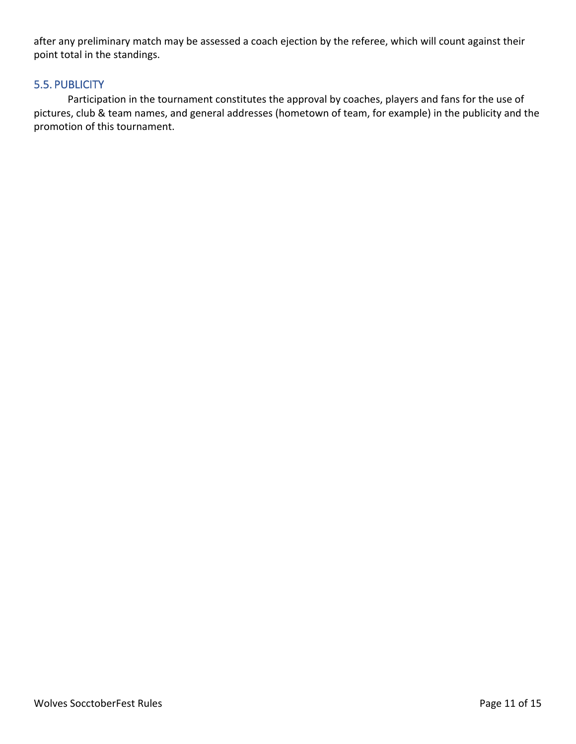after any preliminary match may be assessed a coach ejection by the referee, which will count against their point total in the standings.

# 5.5. PUBLICITY

Participation in the tournament constitutes the approval by coaches, players and fans for the use of pictures, club & team names, and general addresses (hometown of team, for example) in the publicity and the promotion of this tournament.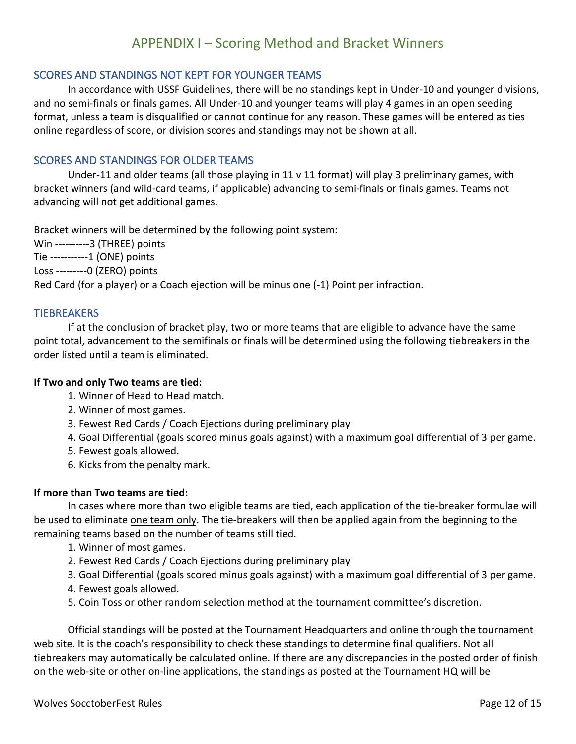# APPENDIX I – Scoring Method and Bracket Winners

# SCORES AND STANDINGS NOT KEPT FOR YOUNGER TEAMS

In accordance with USSF Guidelines, there will be no standings kept in Under-10 and younger divisions, and no semi-finals or finals games. All Under-10 and younger teams will play 4 games in an open seeding format, unless a team is disqualified or cannot continue for any reason. These games will be entered as ties online regardless of score, or division scores and standings may not be shown at all.

## SCORES AND STANDINGS FOR OLDER TEAMS

Under-11 and older teams (all those playing in 11 v 11 format) will play 3 preliminary games, with bracket winners (and wild-card teams, if applicable) advancing to semi-finals or finals games. Teams not advancing will not get additional games.

Bracket winners will be determined by the following point system: Win ----------3 (THREE) points Tie -----------1 (ONE) points Loss ---------0 (ZERO) points Red Card (for a player) or a Coach ejection will be minus one (-1) Point per infraction.

#### **TIEBREAKERS**

If at the conclusion of bracket play, two or more teams that are eligible to advance have the same point total, advancement to the semifinals or finals will be determined using the following tiebreakers in the order listed until a team is eliminated.

#### **If Two and only Two teams are tied:**

- 1. Winner of Head to Head match.
- 2. Winner of most games.
- 3. Fewest Red Cards / Coach Ejections during preliminary play
- 4. Goal Differential (goals scored minus goals against) with a maximum goal differential of 3 per game.
- 5. Fewest goals allowed.
- 6. Kicks from the penalty mark.

#### **If more than Two teams are tied:**

In cases where more than two eligible teams are tied, each application of the tie-breaker formulae will be used to eliminate one team only. The tie-breakers will then be applied again from the beginning to the remaining teams based on the number of teams still tied.

- 1. Winner of most games.
- 2. Fewest Red Cards / Coach Ejections during preliminary play
- 3. Goal Differential (goals scored minus goals against) with a maximum goal differential of 3 per game.
- 4. Fewest goals allowed.
- 5. Coin Toss or other random selection method at the tournament committee's discretion.

Official standings will be posted at the Tournament Headquarters and online through the tournament web site. It is the coach's responsibility to check these standings to determine final qualifiers. Not all tiebreakers may automatically be calculated online. If there are any discrepancies in the posted order of finish on the web-site or other on-line applications, the standings as posted at the Tournament HQ will be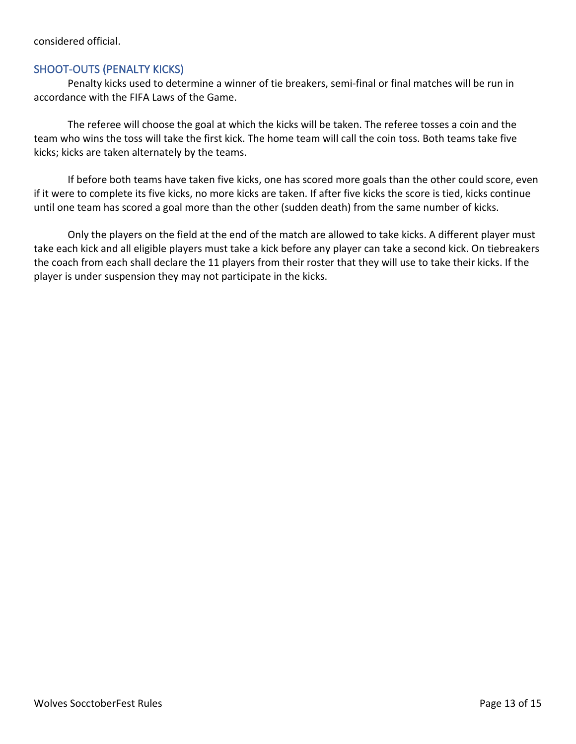## SHOOT-OUTS (PENALTY KICKS)

Penalty kicks used to determine a winner of tie breakers, semi-final or final matches will be run in accordance with the FIFA Laws of the Game.

The referee will choose the goal at which the kicks will be taken. The referee tosses a coin and the team who wins the toss will take the first kick. The home team will call the coin toss. Both teams take five kicks; kicks are taken alternately by the teams.

If before both teams have taken five kicks, one has scored more goals than the other could score, even if it were to complete its five kicks, no more kicks are taken. If after five kicks the score is tied, kicks continue until one team has scored a goal more than the other (sudden death) from the same number of kicks.

Only the players on the field at the end of the match are allowed to take kicks. A different player must take each kick and all eligible players must take a kick before any player can take a second kick. On tiebreakers the coach from each shall declare the 11 players from their roster that they will use to take their kicks. If the player is under suspension they may not participate in the kicks.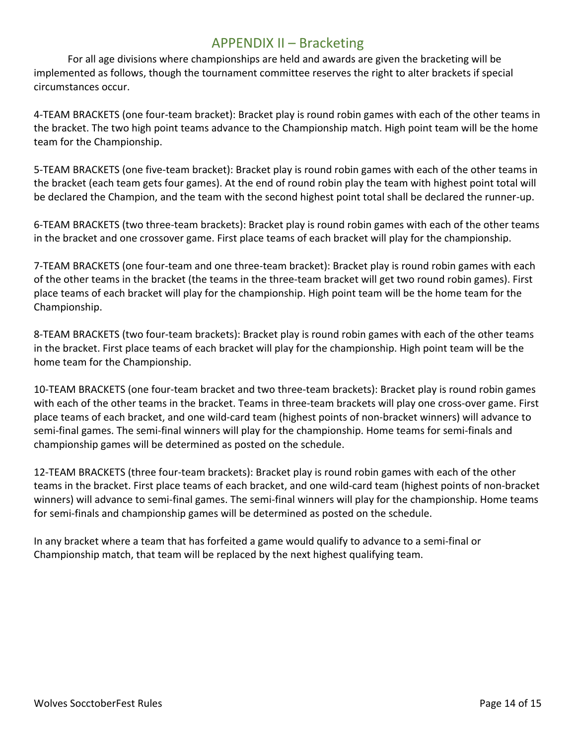# APPENDIX II – Bracketing

For all age divisions where championships are held and awards are given the bracketing will be implemented as follows, though the tournament committee reserves the right to alter brackets if special circumstances occur.

4-TEAM BRACKETS (one four-team bracket): Bracket play is round robin games with each of the other teams in the bracket. The two high point teams advance to the Championship match. High point team will be the home team for the Championship.

5-TEAM BRACKETS (one five-team bracket): Bracket play is round robin games with each of the other teams in the bracket (each team gets four games). At the end of round robin play the team with highest point total will be declared the Champion, and the team with the second highest point total shall be declared the runner-up.

6-TEAM BRACKETS (two three-team brackets): Bracket play is round robin games with each of the other teams in the bracket and one crossover game. First place teams of each bracket will play for the championship.

7-TEAM BRACKETS (one four-team and one three-team bracket): Bracket play is round robin games with each of the other teams in the bracket (the teams in the three-team bracket will get two round robin games). First place teams of each bracket will play for the championship. High point team will be the home team for the Championship.

8-TEAM BRACKETS (two four-team brackets): Bracket play is round robin games with each of the other teams in the bracket. First place teams of each bracket will play for the championship. High point team will be the home team for the Championship.

10-TEAM BRACKETS (one four-team bracket and two three-team brackets): Bracket play is round robin games with each of the other teams in the bracket. Teams in three-team brackets will play one cross-over game. First place teams of each bracket, and one wild-card team (highest points of non-bracket winners) will advance to semi-final games. The semi-final winners will play for the championship. Home teams for semi-finals and championship games will be determined as posted on the schedule.

12-TEAM BRACKETS (three four-team brackets): Bracket play is round robin games with each of the other teams in the bracket. First place teams of each bracket, and one wild-card team (highest points of non-bracket winners) will advance to semi-final games. The semi-final winners will play for the championship. Home teams for semi-finals and championship games will be determined as posted on the schedule.

In any bracket where a team that has forfeited a game would qualify to advance to a semi-final or Championship match, that team will be replaced by the next highest qualifying team.